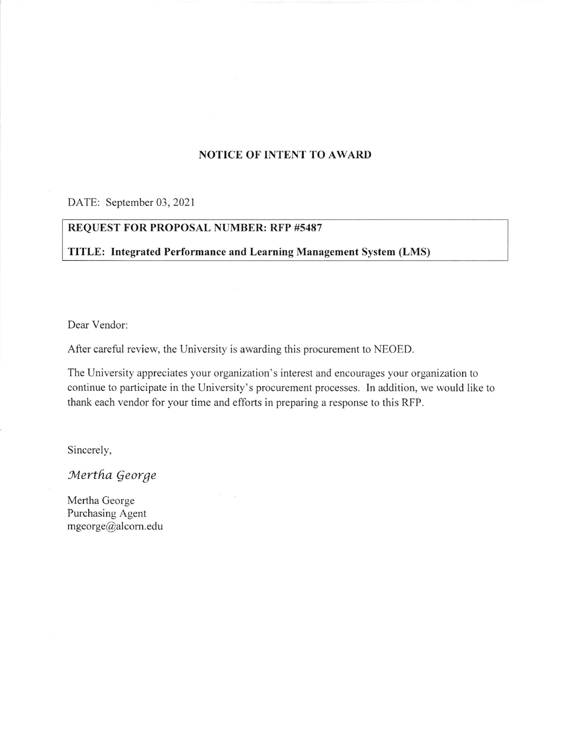# NOTICE OF INTENT TO AWARI)

DATE: September 03, 2021

# REQUEST FOR PROPOSAL NUMBER: RFP #5487

TITLE: Integrated Performance and Learning Management System (LMS)

Dear Vendor:

After careful review, the University is awarding this procurement to NEOED.

The University appreciates your organization's interest and encourages your organization to continue to participate in the University's procurement processes. In addition, we would like to thank each vendor for your time and efforts in preparing a response to this RFP.

Sincerely,

Mertha George

Mertha George Purchasing Agent mgeorge@alcom.edu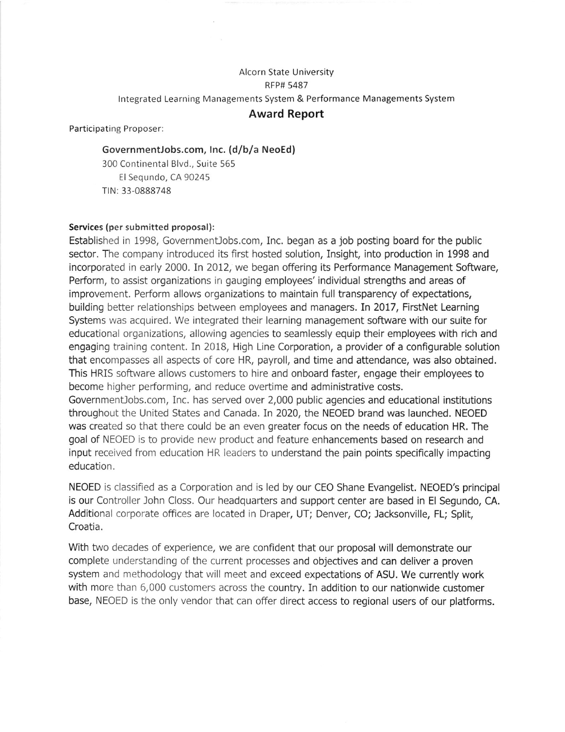# Alcorn State University **RFP# 5487** lntegrated Learning Managements System & Performance Managements System

# Award Report

Participating Proposer:

# GovernmentJobs.com, lnc. (d/b/a NeoEd)

300 Continental Blvd., Suite 565 El Segundo, CA 90245 TIN: 33-0888748

# Services (per submitted proposal):

Established in 1998, GovernmenUobs.com, Inc. began as a job posting board for the public sector. The company introduced its first hosted solution, Insight, into production in 1998 and incorporated in early 2000. In 2012, we began offering its Performance Management Software, Perform, to assist organizations in gauging employees' individual strengths and areas of improvement. Perform allows organizations to maintain full transparency of expectations, building better relationships between employees and managers. In 2017, FirstNet Learning Systems was acquired. We integrated their learning management software with our suite for educational organizations, allowing agencies to seamlessly equip their employees with rich and engaging training content. In 2018, High Line Corporation, a provider of a configurable solution that encompasses all aspects of core HR, payroll, and time and attendance, was also obtained. This HRIS software allows customers to hire and onboard faster, engage their employees to become higher peforming, and reduce overtime and administrative costs. GovernmenUobs.com, Inc, has served over 2,000 public agencies and educational institutions throughout the United States and Canada. In 2020, the NEOED brand was launched. NEOED was created so that there could be an even greater focus on the needs of education HR. The

goal of NEOED is to provide new product and feature enhancements based on research and input received from education HR leaders to understand the pain points specifically impacting education.

NEOED is classified as a Corporation and is led by our CEO Shane Evangelist. NEOED's principal is our Controller John Closs. Our headquarters and support center are based in El Segundo, CA. Additional corporate offices are located in Draper, UT; Denver, CO; Jacksonville, FL; Split, Croatia.

With two decades of experience, we are confident that our proposal will demonstrate our complete understanding of the current processes and objectives and can deliver a proven system and methodology that will meet and exceed expectations of ASU. We currently work with more than 6,000 customers across the country. In addition to our nationwide customer base, NEOED is the only vendor that can offer direct access to regional users of our platforms.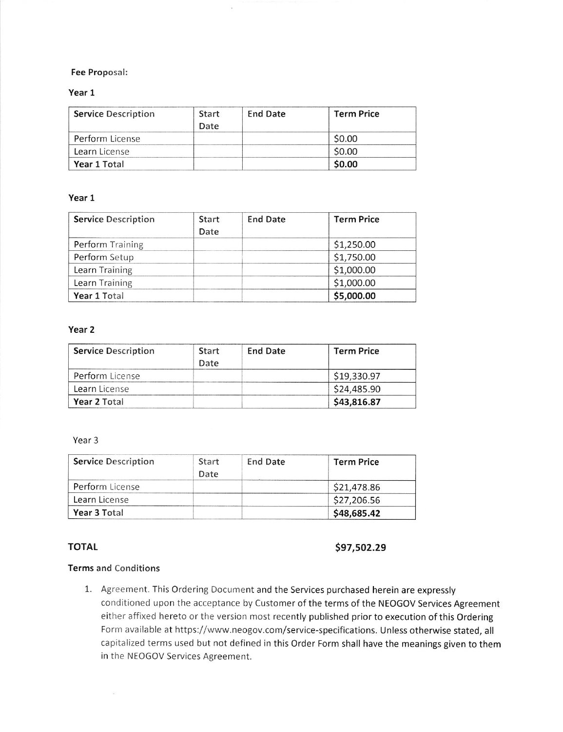#### Fee Proposal:

#### Year 1

| <b>Service Description</b> | Start<br>Date | <b>End Date</b> | <b>Term Price</b> |  |
|----------------------------|---------------|-----------------|-------------------|--|
| Perform License            |               |                 | \$0.00            |  |
| Learn License              |               |                 | \$0.00            |  |
| Year 1 Total               |               |                 | \$0.00            |  |

### Year I

| <b>Service Description</b> | <b>Start</b><br>Date | <b>End Date</b> | <b>Term Price</b> |
|----------------------------|----------------------|-----------------|-------------------|
| <b>Perform Training</b>    |                      |                 | \$1,250.00        |
| Perform Setup              |                      |                 | \$1,750.00        |
| Learn Training             |                      |                 | \$1,000.00        |
| Learn Training             |                      |                 | \$1,000.00        |
| Year 1 Total               |                      |                 | \$5,000.00        |

### Year 2

| <b>Service Description</b> | Start<br>Date | <b>End Date</b> | <b>Term Price</b> |  |
|----------------------------|---------------|-----------------|-------------------|--|
| Perform License            |               |                 | \$19,330.97       |  |
| Learn License              |               |                 | \$24,485.90       |  |
| Year 2 Total               |               |                 | \$43,816.87       |  |

#### Year 3

| <b>Service Description</b> | Start<br>Date | <b>End Date</b> | <b>Term Price</b> |
|----------------------------|---------------|-----------------|-------------------|
| Perform License            |               |                 | \$21,478.86       |
| Learn License              |               |                 | \$27,206.56       |
| Year 3 Total               |               |                 | \$48,685.42       |

TOTAL \$97,502.29

## Terms and Conditions

1. Agreement. This Ordering Document and the Services purchased herein are expressly conditioned upon the acceptance by Customer of the terms of the NEOGOV Services Agreement either affixed hereto or the version most recently published prior to execution of this Ordering Form available at https://www. neogov.com/service-specifications. Unless otherwise stated, all capitalized terms used but not defined in this Order Form shall have the meanings given to them in the NEOGOV Services Agreement.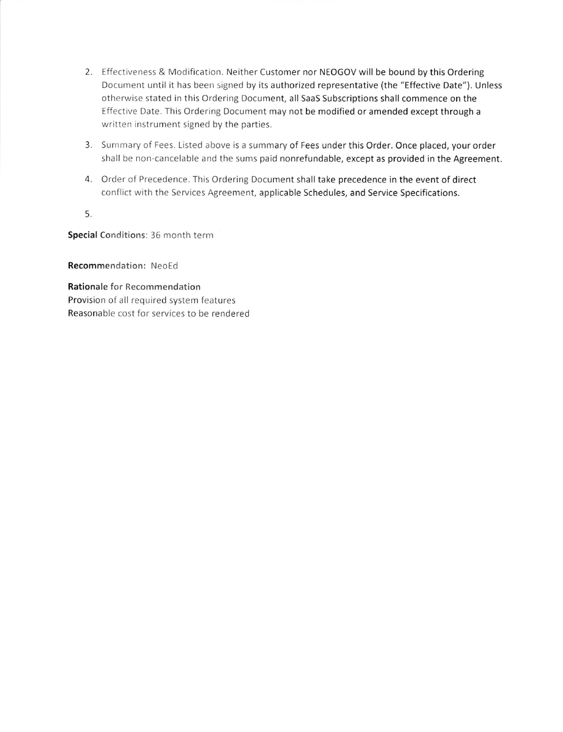- 2. Effectiveness & Modification. Neither Customer nor NEOGOV will be bound by this Ordering Document until it has been signed by its authorized representative (the "Effective Date"). Unless otherwise stated in this Ordering Document, all SaaS Subscriptions shall commence on the Effective Date. This Ordering Document may not be modified or amended except through a written instrument signed by the parties.
- 3. Summary of Fees. Listed above is a summary of Fees under this Order. Once placed, your order shall be non-cancelable and the sums paid nonrefundable, except as provided in the Agreement.
- 4. Order of Precedence. This Ordering Document shall take precedence in the event of direct conflict with the Services Agreement, applicable Schedules, and Service Specifications.

5.

Special Conditions: 36 month term

Recommendation: NeoEd

Rationale for Recommendation Provision of all required system features Reasonable cost for services to be rendered